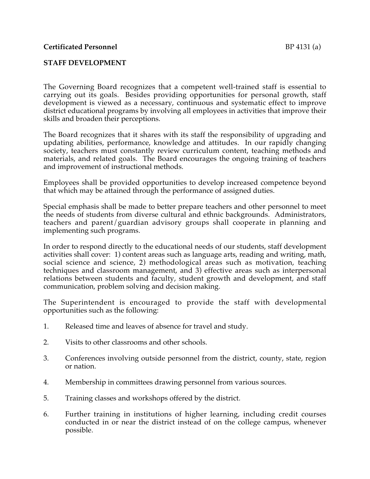## **STAFF DEVELOPMENT**

The Governing Board recognizes that a competent well-trained staff is essential to carrying out its goals. Besides providing opportunities for personal growth, staff development is viewed as a necessary, continuous and systematic effect to improve district educational programs by involving all employees in activities that improve their skills and broaden their perceptions.

The Board recognizes that it shares with its staff the responsibility of upgrading and updating abilities, performance, knowledge and attitudes. In our rapidly changing society, teachers must constantly review curriculum content, teaching methods and materials, and related goals. The Board encourages the ongoing training of teachers and improvement of instructional methods.

Employees shall be provided opportunities to develop increased competence beyond that which may be attained through the performance of assigned duties.

Special emphasis shall be made to better prepare teachers and other personnel to meet the needs of students from diverse cultural and ethnic backgrounds. Administrators, teachers and parent/guardian advisory groups shall cooperate in planning and implementing such programs.

In order to respond directly to the educational needs of our students, staff development activities shall cover: 1) content areas such as language arts, reading and writing, math, social science and science, 2) methodological areas such as motivation, teaching techniques and classroom management, and 3) effective areas such as interpersonal relations between students and faculty, student growth and development, and staff communication, problem solving and decision making.

The Superintendent is encouraged to provide the staff with developmental opportunities such as the following:

- 1. Released time and leaves of absence for travel and study.
- 2. Visits to other classrooms and other schools.
- 3. Conferences involving outside personnel from the district, county, state, region or nation.
- 4. Membership in committees drawing personnel from various sources.
- 5. Training classes and workshops offered by the district.
- 6. Further training in institutions of higher learning, including credit courses conducted in or near the district instead of on the college campus, whenever possible.